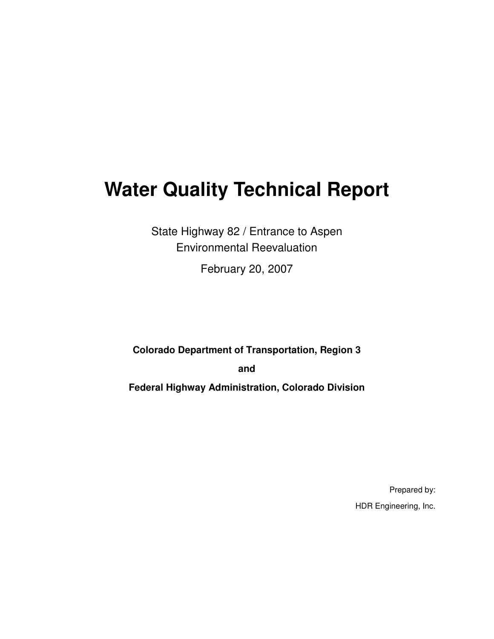# **Water Quality Technical Report**

State Highway 82 / Entrance to Aspen Environmental Reevaluation

February 20, 2007

**Colorado Department of Transportation, Region 3** 

**and** 

**Federal Highway Administration, Colorado Division** 

Prepared by: HDR Engineering, Inc.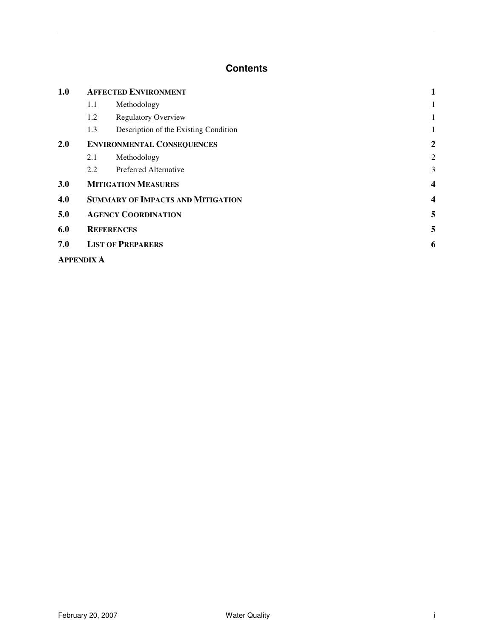#### **Contents**

| 1.0 | <b>AFFECTED ENVIRONMENT</b>              |                                       |                |
|-----|------------------------------------------|---------------------------------------|----------------|
|     | 1.1                                      | Methodology                           | 1              |
|     | 1.2                                      | <b>Regulatory Overview</b>            | 1              |
|     | 1.3                                      | Description of the Existing Condition | 1              |
| 2.0 | <b>ENVIRONMENTAL CONSEQUENCES</b>        |                                       |                |
|     | 2.1                                      | Methodology                           | $\overline{c}$ |
|     | 2.2                                      | Preferred Alternative                 | 3              |
| 3.0 |                                          | <b>MITIGATION MEASURES</b>            | 4              |
| 4.0 | <b>SUMMARY OF IMPACTS AND MITIGATION</b> |                                       |                |
| 5.0 | <b>AGENCY COORDINATION</b>               |                                       |                |
| 6.0 | <b>REFERENCES</b>                        | 5                                     |                |
| 7.0 | <b>LIST OF PREPARERS</b>                 |                                       |                |
|     | <b>APPENDIX A</b>                        |                                       |                |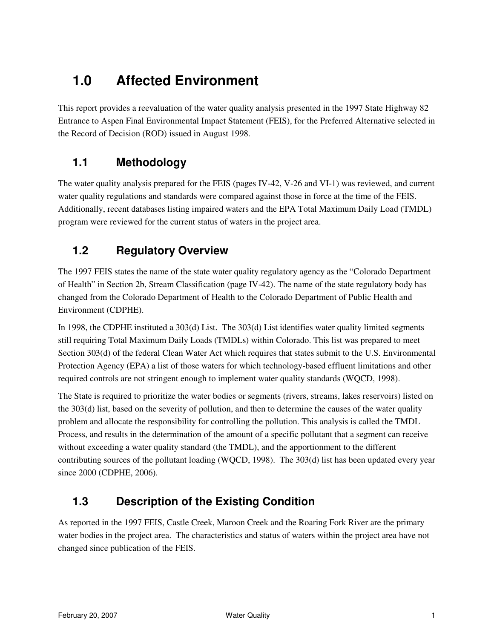### **1.0 Affected Environment**

This report provides a reevaluation of the water quality analysis presented in the 1997 State Highway 82 Entrance to Aspen Final Environmental Impact Statement (FEIS), for the Preferred Alternative selected in the Record of Decision (ROD) issued in August 1998.

#### **1.1 Methodology**

The water quality analysis prepared for the FEIS (pages IV-42, V-26 and VI-1) was reviewed, and current water quality regulations and standards were compared against those in force at the time of the FEIS. Additionally, recent databases listing impaired waters and the EPA Total Maximum Daily Load (TMDL) program were reviewed for the current status of waters in the project area.

#### **1.2 Regulatory Overview**

The 1997 FEIS states the name of the state water quality regulatory agency as the "Colorado Department of Health" in Section 2b, Stream Classification (page IV-42). The name of the state regulatory body has changed from the Colorado Department of Health to the Colorado Department of Public Health and Environment (CDPHE).

In 1998, the CDPHE instituted a 303(d) List. The 303(d) List identifies water quality limited segments still requiring Total Maximum Daily Loads (TMDLs) within Colorado. This list was prepared to meet Section 303(d) of the federal Clean Water Act which requires that states submit to the U.S. Environmental Protection Agency (EPA) a list of those waters for which technology-based effluent limitations and other required controls are not stringent enough to implement water quality standards (WQCD, 1998).

The State is required to prioritize the water bodies or segments (rivers, streams, lakes reservoirs) listed on the 303(d) list, based on the severity of pollution, and then to determine the causes of the water quality problem and allocate the responsibility for controlling the pollution. This analysis is called the TMDL Process, and results in the determination of the amount of a specific pollutant that a segment can receive without exceeding a water quality standard (the TMDL), and the apportionment to the different contributing sources of the pollutant loading (WQCD, 1998). The 303(d) list has been updated every year since 2000 (CDPHE, 2006).

#### **1.3 Description of the Existing Condition**

As reported in the 1997 FEIS, Castle Creek, Maroon Creek and the Roaring Fork River are the primary water bodies in the project area. The characteristics and status of waters within the project area have not changed since publication of the FEIS.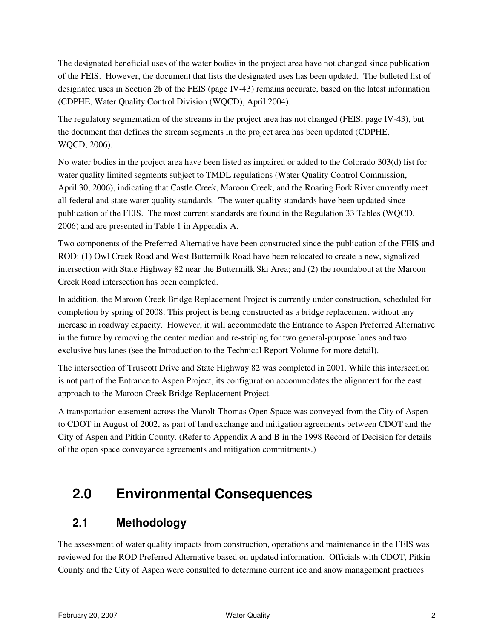The designated beneficial uses of the water bodies in the project area have not changed since publication of the FEIS. However, the document that lists the designated uses has been updated. The bulleted list of designated uses in Section 2b of the FEIS (page IV-43) remains accurate, based on the latest information (CDPHE, Water Quality Control Division (WQCD), April 2004).

The regulatory segmentation of the streams in the project area has not changed (FEIS, page IV-43), but the document that defines the stream segments in the project area has been updated (CDPHE, WQCD, 2006).

No water bodies in the project area have been listed as impaired or added to the Colorado 303(d) list for water quality limited segments subject to TMDL regulations (Water Quality Control Commission, April 30, 2006), indicating that Castle Creek, Maroon Creek, and the Roaring Fork River currently meet all federal and state water quality standards. The water quality standards have been updated since publication of the FEIS. The most current standards are found in the Regulation 33 Tables (WQCD, 2006) and are presented in Table 1 in Appendix A.

Two components of the Preferred Alternative have been constructed since the publication of the FEIS and ROD: (1) Owl Creek Road and West Buttermilk Road have been relocated to create a new, signalized intersection with State Highway 82 near the Buttermilk Ski Area; and (2) the roundabout at the Maroon Creek Road intersection has been completed.

In addition, the Maroon Creek Bridge Replacement Project is currently under construction, scheduled for completion by spring of 2008. This project is being constructed as a bridge replacement without any increase in roadway capacity. However, it will accommodate the Entrance to Aspen Preferred Alternative in the future by removing the center median and re-striping for two general-purpose lanes and two exclusive bus lanes (see the Introduction to the Technical Report Volume for more detail).

The intersection of Truscott Drive and State Highway 82 was completed in 2001. While this intersection is not part of the Entrance to Aspen Project, its configuration accommodates the alignment for the east approach to the Maroon Creek Bridge Replacement Project.

A transportation easement across the Marolt-Thomas Open Space was conveyed from the City of Aspen to CDOT in August of 2002, as part of land exchange and mitigation agreements between CDOT and the City of Aspen and Pitkin County. (Refer to Appendix A and B in the 1998 Record of Decision for details of the open space conveyance agreements and mitigation commitments.)

### **2.0 Environmental Consequences**

#### **2.1 Methodology**

The assessment of water quality impacts from construction, operations and maintenance in the FEIS was reviewed for the ROD Preferred Alternative based on updated information. Officials with CDOT, Pitkin County and the City of Aspen were consulted to determine current ice and snow management practices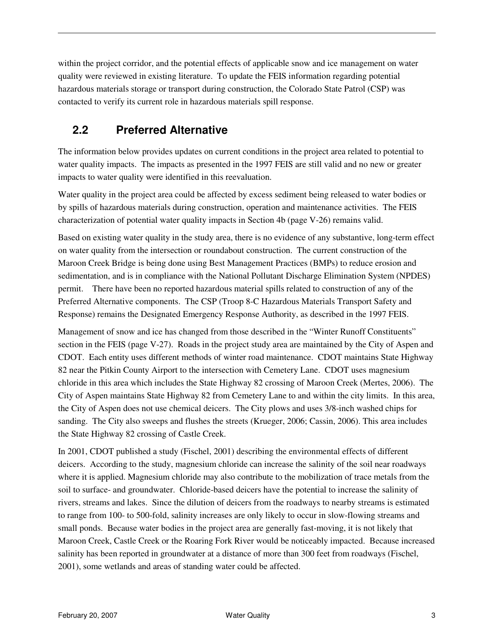within the project corridor, and the potential effects of applicable snow and ice management on water quality were reviewed in existing literature. To update the FEIS information regarding potential hazardous materials storage or transport during construction, the Colorado State Patrol (CSP) was contacted to verify its current role in hazardous materials spill response.

### **2.2 Preferred Alternative**

The information below provides updates on current conditions in the project area related to potential to water quality impacts. The impacts as presented in the 1997 FEIS are still valid and no new or greater impacts to water quality were identified in this reevaluation.

Water quality in the project area could be affected by excess sediment being released to water bodies or by spills of hazardous materials during construction, operation and maintenance activities. The FEIS characterization of potential water quality impacts in Section 4b (page  $V-26$ ) remains valid.

Based on existing water quality in the study area, there is no evidence of any substantive, long-term effect on water quality from the intersection or roundabout construction. The current construction of the Maroon Creek Bridge is being done using Best Management Practices (BMPs) to reduce erosion and sedimentation, and is in compliance with the National Pollutant Discharge Elimination System (NPDES) permit. There have been no reported hazardous material spills related to construction of any of the Preferred Alternative components. The CSP (Troop 8-C Hazardous Materials Transport Safety and Response) remains the Designated Emergency Response Authority, as described in the 1997 FEIS.

Management of snow and ice has changed from those described in the "Winter Runoff Constituents" section in the FEIS (page V-27). Roads in the project study area are maintained by the City of Aspen and CDOT. Each entity uses different methods of winter road maintenance. CDOT maintains State Highway 82 near the Pitkin County Airport to the intersection with Cemetery Lane. CDOT uses magnesium chloride in this area which includes the State Highway 82 crossing of Maroon Creek (Mertes, 2006). The City of Aspen maintains State Highway 82 from Cemetery Lane to and within the city limits. In this area, the City of Aspen does not use chemical deicers. The City plows and uses 3/8-inch washed chips for sanding. The City also sweeps and flushes the streets (Krueger, 2006; Cassin, 2006). This area includes the State Highway 82 crossing of Castle Creek.

In 2001, CDOT published a study (Fischel, 2001) describing the environmental effects of different deicers. According to the study, magnesium chloride can increase the salinity of the soil near roadways where it is applied. Magnesium chloride may also contribute to the mobilization of trace metals from the soil to surface- and groundwater. Chloride-based deicers have the potential to increase the salinity of rivers, streams and lakes. Since the dilution of deicers from the roadways to nearby streams is estimated to range from 100- to 500-fold, salinity increases are only likely to occur in slow-flowing streams and small ponds. Because water bodies in the project area are generally fast-moving, it is not likely that Maroon Creek, Castle Creek or the Roaring Fork River would be noticeably impacted. Because increased salinity has been reported in groundwater at a distance of more than 300 feet from roadways (Fischel, 2001), some wetlands and areas of standing water could be affected.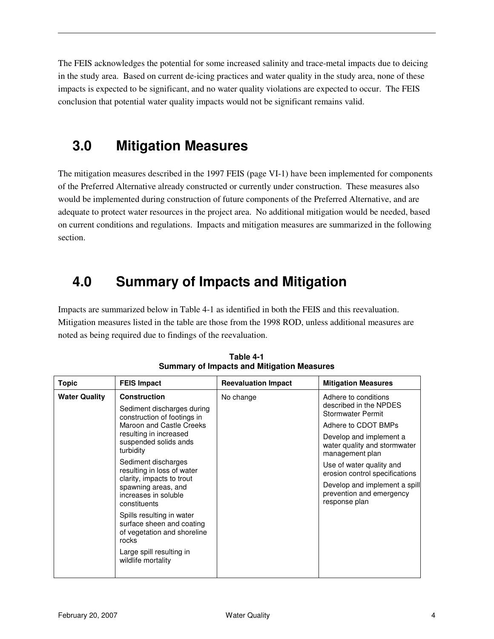The FEIS acknowledges the potential for some increased salinity and trace-metal impacts due to deicing in the study area. Based on current de-icing practices and water quality in the study area, none of these impacts is expected to be significant, and no water quality violations are expected to occur. The FEIS conclusion that potential water quality impacts would not be significant remains valid.

### **3.0 Mitigation Measures**

The mitigation measures described in the 1997 FEIS (page VI-1) have been implemented for components of the Preferred Alternative already constructed or currently under construction. These measures also would be implemented during construction of future components of the Preferred Alternative, and are adequate to protect water resources in the project area. No additional mitigation would be needed, based on current conditions and regulations. Impacts and mitigation measures are summarized in the following section.

### **4.0 Summary of Impacts and Mitigation**

Impacts are summarized below in Table 4-1 as identified in both the FEIS and this reevaluation. Mitigation measures listed in the table are those from the 1998 ROD, unless additional measures are noted as being required due to findings of the reevaluation.

| <b>Topic</b>         | <b>FEIS Impact</b>                                                                                                                                                                                                                        | <b>Reevaluation Impact</b> | <b>Mitigation Measures</b>                                                 |
|----------------------|-------------------------------------------------------------------------------------------------------------------------------------------------------------------------------------------------------------------------------------------|----------------------------|----------------------------------------------------------------------------|
| <b>Water Quality</b> | <b>Construction</b><br>Sediment discharges during<br>construction of footings in                                                                                                                                                          | No change                  | Adhere to conditions<br>described in the NPDES<br><b>Stormwater Permit</b> |
|                      | Maroon and Castle Creeks<br>resulting in increased<br>suspended solids ands<br>turbidity<br>Sediment discharges<br>resulting in loss of water<br>clarity, impacts to trout<br>spawning areas, and<br>increases in soluble<br>constituents |                            | Adhere to CDOT BMPs                                                        |
|                      |                                                                                                                                                                                                                                           |                            | Develop and implement a<br>water quality and stormwater<br>management plan |
|                      |                                                                                                                                                                                                                                           |                            | Use of water quality and<br>erosion control specifications                 |
|                      |                                                                                                                                                                                                                                           |                            | Develop and implement a spill<br>prevention and emergency<br>response plan |
|                      | Spills resulting in water<br>surface sheen and coating<br>of vegetation and shoreline<br>rocks                                                                                                                                            |                            |                                                                            |
|                      | Large spill resulting in<br>wildlife mortality                                                                                                                                                                                            |                            |                                                                            |

**Table 4-1 Summary of Impacts and Mitigation Measures**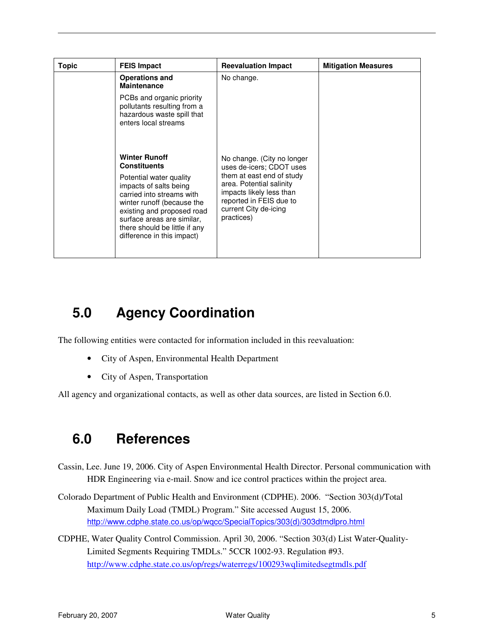| Topic | <b>FEIS Impact</b>                                                                                                                                                                                                                                                                     | <b>Reevaluation Impact</b>                                                                                                                                                                                    | <b>Mitigation Measures</b> |
|-------|----------------------------------------------------------------------------------------------------------------------------------------------------------------------------------------------------------------------------------------------------------------------------------------|---------------------------------------------------------------------------------------------------------------------------------------------------------------------------------------------------------------|----------------------------|
|       | <b>Operations and</b><br><b>Maintenance</b>                                                                                                                                                                                                                                            | No change.                                                                                                                                                                                                    |                            |
|       | PCBs and organic priority<br>pollutants resulting from a<br>hazardous waste spill that<br>enters local streams                                                                                                                                                                         |                                                                                                                                                                                                               |                            |
|       | <b>Winter Runoff</b><br><b>Constituents</b><br>Potential water quality<br>impacts of salts being<br>carried into streams with<br>winter runoff (because the<br>existing and proposed road<br>surface areas are similar,<br>there should be little if any<br>difference in this impact) | No change. (City no longer<br>uses de-icers; CDOT uses<br>them at east end of study<br>area. Potential salinity<br>impacts likely less than<br>reported in FEIS due to<br>current City de-icing<br>practices) |                            |

### **5.0 Agency Coordination**

The following entities were contacted for information included in this reevaluation:

- City of Aspen, Environmental Health Department
- City of Aspen, Transportation

All agency and organizational contacts, as well as other data sources, are listed in Section 6.0.

### **6.0 References**

- Cassin, Lee. June 19, 2006. City of Aspen Environmental Health Director. Personal communication with HDR Engineering via e-mail. Snow and ice control practices within the project area.
- Colorado Department of Public Health and Environment (CDPHE). 2006. "Section 303(d)/Total Maximum Daily Load (TMDL) Program." Site accessed August 15, 2006. http://www.cdphe.state.co.us/op/wqcc/SpecialTopics/303(d)/303dtmdlpro.html
- CDPHE, Water Quality Control Commission. April 30, 2006. "Section 303(d) List Water-Quality-Limited Segments Requiring TMDLs." 5CCR 1002-93. Regulation #93. http://www.cdphe.state.co.us/op/regs/waterregs/100293wqlimitedsegtmdls.pdf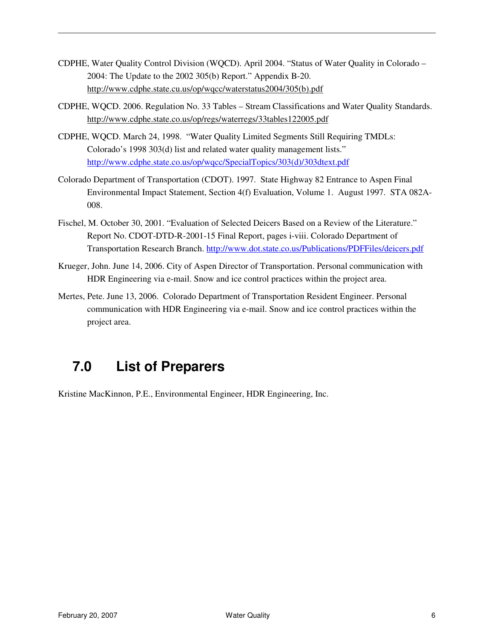- CDPHE, Water Quality Control Division (WQCD). April 2004. "Status of Water Quality in Colorado 2004: The Update to the 2002 305(b) Report." Appendix B-20. http://www.cdphe.state.cu.us/op/wqcc/waterstatus2004/305(b).pdf
- CDPHE, WQCD. 2006. Regulation No. 33 Tables Stream Classifications and Water Quality Standards. http://www.cdphe.state.co.us/op/regs/waterregs/33tables122005.pdf
- CDPHE, WQCD. March 24, 1998. "Water Quality Limited Segments Still Requiring TMDLs: Colorado's 1998 303(d) list and related water quality management lists." http://www.cdphe.state.co.us/op/wqcc/SpecialTopics/303(d)/303dtext.pdf
- Colorado Department of Transportation (CDOT). 1997. State Highway 82 Entrance to Aspen Final Environmental Impact Statement, Section 4(f) Evaluation, Volume 1. August 1997. STA 082A-008.
- Fischel, M. October 30, 2001. "Evaluation of Selected Deicers Based on a Review of the Literature." Report No. CDOT-DTD-R-2001-15 Final Report, pages i-viii. Colorado Department of Transportation Research Branch. http://www.dot.state.co.us/Publications/PDFFiles/deicers.pdf
- Krueger, John. June 14, 2006. City of Aspen Director of Transportation. Personal communication with HDR Engineering via e-mail. Snow and ice control practices within the project area.
- Mertes, Pete. June 13, 2006. Colorado Department of Transportation Resident Engineer. Personal communication with HDR Engineering via e-mail. Snow and ice control practices within the project area.

### **7.0 List of Preparers**

Kristine MacKinnon, P.E., Environmental Engineer, HDR Engineering, Inc.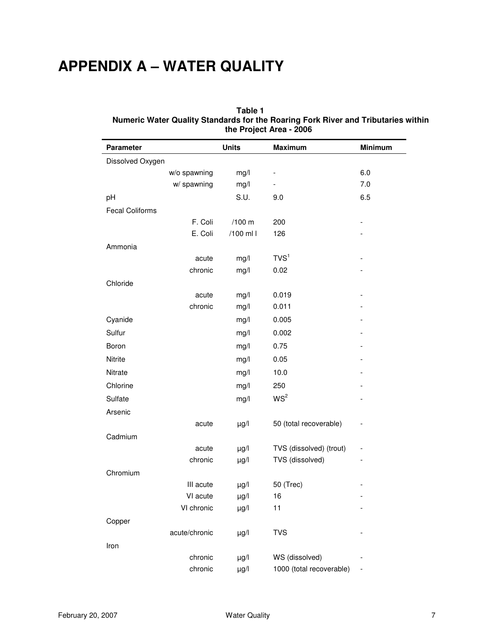## **APPENDIX A – WATER QUALITY**

#### **Table 1 Numeric Water Quality Standards for the Roaring Fork River and Tributaries within the Project Area - 2006**

| Parameter              |                                                               | <b>Units</b>                                                  | <b>Maximum</b>                                                       | <b>Minimum</b>           |
|------------------------|---------------------------------------------------------------|---------------------------------------------------------------|----------------------------------------------------------------------|--------------------------|
| Dissolved Oxygen       |                                                               |                                                               |                                                                      |                          |
|                        | w/o spawning                                                  | mg/l                                                          |                                                                      | 6.0                      |
|                        | w/ spawning                                                   | mg/l                                                          |                                                                      | 7.0                      |
| pH                     |                                                               | S.U.                                                          | 9.0                                                                  | 6.5                      |
| <b>Fecal Coliforms</b> |                                                               |                                                               |                                                                      |                          |
|                        | F. Coli                                                       | /100 m                                                        | 200                                                                  |                          |
|                        | E. Coli                                                       | /100 ml l                                                     | 126                                                                  |                          |
| Ammonia                |                                                               |                                                               |                                                                      |                          |
|                        | acute                                                         | mg/l                                                          | TVS <sup>1</sup>                                                     |                          |
|                        | chronic                                                       | mg/l                                                          | 0.02                                                                 |                          |
| Chloride               |                                                               |                                                               |                                                                      |                          |
|                        | acute                                                         | mg/l                                                          | 0.019                                                                |                          |
|                        | chronic                                                       | mg/l                                                          | 0.011                                                                |                          |
| Cyanide                |                                                               | mg/l                                                          | 0.005                                                                |                          |
| Sulfur                 |                                                               | mg/l                                                          | 0.002                                                                |                          |
| Boron                  |                                                               | mg/l                                                          | 0.75                                                                 |                          |
| Nitrite                |                                                               | mg/l                                                          | 0.05                                                                 |                          |
| Nitrate                |                                                               | mg/l                                                          | 10.0                                                                 |                          |
| Chlorine               |                                                               | mg/l                                                          | 250                                                                  |                          |
| Sulfate                |                                                               | mg/l                                                          | WS <sup>2</sup>                                                      |                          |
| Arsenic                |                                                               |                                                               |                                                                      |                          |
|                        | acute                                                         | $\mu g/l$                                                     | 50 (total recoverable)                                               |                          |
| Cadmium                |                                                               |                                                               |                                                                      |                          |
|                        | acute                                                         | $\mu$ g/l                                                     | TVS (dissolved) (trout)                                              | $\overline{\phantom{0}}$ |
|                        | chronic                                                       | $\mu g/l$                                                     | TVS (dissolved)                                                      |                          |
| Chromium               |                                                               |                                                               |                                                                      |                          |
|                        | III acute                                                     | $\mu g/l$                                                     | 50 (Trec)                                                            |                          |
|                        |                                                               |                                                               |                                                                      |                          |
|                        |                                                               |                                                               |                                                                      |                          |
|                        |                                                               |                                                               |                                                                      |                          |
|                        |                                                               |                                                               |                                                                      |                          |
|                        |                                                               |                                                               |                                                                      |                          |
|                        |                                                               |                                                               |                                                                      |                          |
| Copper<br>Iron         | VI acute<br>VI chronic<br>acute/chronic<br>chronic<br>chronic | $\mu g/l$<br>$\mu$ g/l<br>$\mu g/l$<br>$\mu g/l$<br>$\mu$ g/l | 16<br>11<br><b>TVS</b><br>WS (dissolved)<br>1000 (total recoverable) |                          |